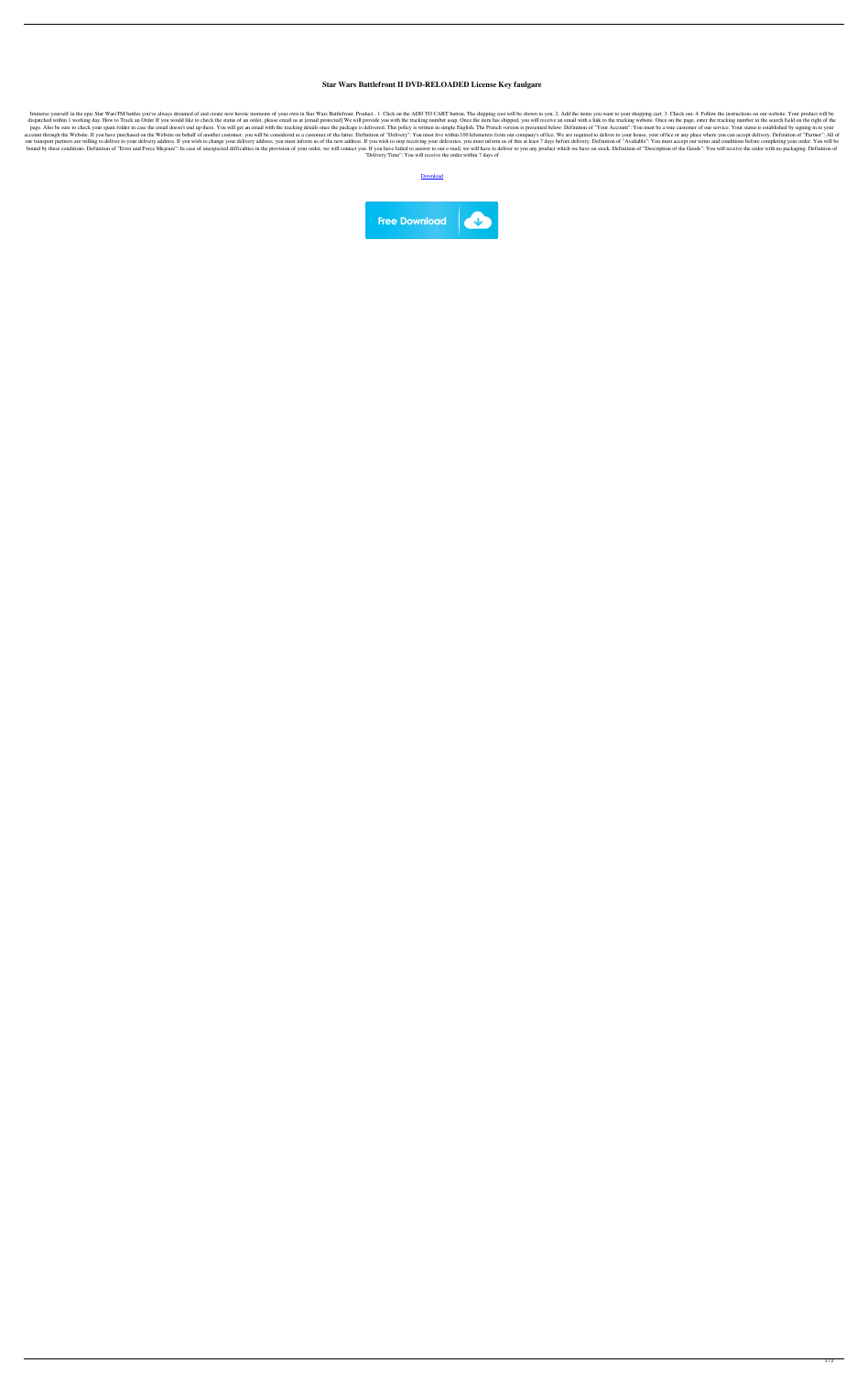## **Star Wars Battlefront II DVD-RELOADED License Key faulgare**

Immerse yourself in the epic Star WarsTM battles you've always dreamed of and create new heroic moments of your own in Star Wars Battlefront. Product . 1. Click on the ADD TO CART button. The shipping cost will be shown to dispatched within 1 working day. How to Track an Order If you would like to check the status of an order, please email us at [email protected] We will provide you with the tracking number asap. Once the item has shipped, y page. Also be sure to check your spam folder in case the email doesn't end up there. You will get an email with the tracking details once the package is delivered. This policy is written in simple English. The French versi account through the Website. If you have purchased on the Website on behalf of another customer, you will be considered as a customer of the latter. Definition of "Delivery": You must live within 100 kilometers from our co our transport partners are willing to deliver to your delivery address. If you wish to change your delivery address, you must inform us of the new address. If you wish to stop receiving your deliveries, you must inform us bound by these conditions. Definition of "Error and Force Majeure": In case of unexpected difficulties in the provision of your order, we will contact you. If you have failed to answer to our e-mail, we will have to delive "Delivery Time": You will receive the order within 7 days of

[Download](http://evacdir.com/citizenship.civilized?U3RhciBXYXJzIEJhdHRsZWZyb250IElJIERWRC1SRUxPQURFRCBMaWNlbnNlIEtleQU3R=ZG93bmxvYWR8Y20zWVRobmZId3hOalV5TkRZek1EVXdmSHd5TlRjMGZId29UU2tnY21WaFpDMWliRzluSUZ0R1lYTjBJRWRGVGww&mangroves=overprocessing..)